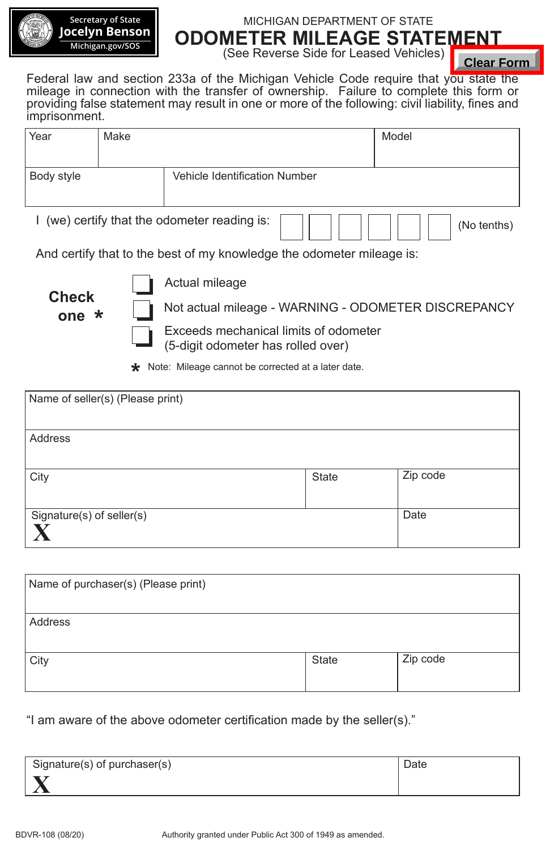

**Secretary of State Jocelyn Benson Michigan.gov/SOS** 

## MICHIGAN DEPARTMENT OF STATE **ODOMETER MILEAGE STATEMENT**

(See Reverse Side for Leased Vehicles)

| Year       | Make |                                            | Model       |
|------------|------|--------------------------------------------|-------------|
| Body style |      | Vehicle Identification Number              |             |
|            |      | (we) certify that the odometer reading is: | (No tenths) |

|               |                                     |                                                                                                                                                                                |       | <b>Clear Form</b> |
|---------------|-------------------------------------|--------------------------------------------------------------------------------------------------------------------------------------------------------------------------------|-------|-------------------|
|               |                                     | Federal law and section 233a of the Michigan Vehicle Code require that you state the<br>mileage in connection with the transfer of ownership. Failure to complete this form or |       |                   |
|               |                                     | providing false statement may result in one or more of the following: civil liability, fines and                                                                               |       |                   |
| imprisonment. |                                     |                                                                                                                                                                                |       |                   |
| Year          | Make                                |                                                                                                                                                                                |       | Model             |
|               |                                     |                                                                                                                                                                                |       |                   |
| Body style    |                                     | Vehicle Identification Number                                                                                                                                                  |       |                   |
|               |                                     |                                                                                                                                                                                |       |                   |
|               |                                     | I (we) certify that the odometer reading is:                                                                                                                                   |       | (No tenths)       |
|               |                                     | And certify that to the best of my knowledge the odometer mileage is:                                                                                                          |       |                   |
|               |                                     | Actual mileage                                                                                                                                                                 |       |                   |
| <b>Check</b>  |                                     | Not actual mileage - WARNING - ODOMETER DISCREPANCY                                                                                                                            |       |                   |
| one $\star$   |                                     | Exceeds mechanical limits of odometer                                                                                                                                          |       |                   |
|               |                                     | (5-digit odometer has rolled over)                                                                                                                                             |       |                   |
|               |                                     | <b>*</b> Note: Mileage cannot be corrected at a later date.                                                                                                                    |       |                   |
|               |                                     |                                                                                                                                                                                |       |                   |
|               | Name of seller(s) (Please print)    |                                                                                                                                                                                |       |                   |
|               |                                     |                                                                                                                                                                                |       |                   |
| Address       |                                     |                                                                                                                                                                                |       |                   |
|               |                                     |                                                                                                                                                                                |       | Zip code          |
| City          |                                     |                                                                                                                                                                                | State |                   |
|               | Signature(s) of seller(s)           |                                                                                                                                                                                |       | Date              |
| X             |                                     |                                                                                                                                                                                |       |                   |
|               |                                     |                                                                                                                                                                                |       |                   |
|               |                                     |                                                                                                                                                                                |       |                   |
|               | Name of purchaser(s) (Please print) |                                                                                                                                                                                |       |                   |
| Address       |                                     |                                                                                                                                                                                |       |                   |
|               |                                     |                                                                                                                                                                                |       |                   |
| City          |                                     |                                                                                                                                                                                | State | Zip code          |
|               |                                     |                                                                                                                                                                                |       |                   |
|               |                                     |                                                                                                                                                                                |       |                   |
|               |                                     | "I am aware of the above odometer certification made by the seller(s)."                                                                                                        |       |                   |
|               |                                     |                                                                                                                                                                                |       |                   |
|               |                                     |                                                                                                                                                                                |       |                   |
|               |                                     |                                                                                                                                                                                |       | Date              |
|               | Signature(s) of purchaser(s)        |                                                                                                                                                                                |       |                   |

| Name of purchaser(s) (Please print) |              |          |
|-------------------------------------|--------------|----------|
| Address                             |              |          |
| City                                | <b>State</b> | Zip code |

| Signature(s) of purchaser(s) | Date |
|------------------------------|------|
|                              |      |